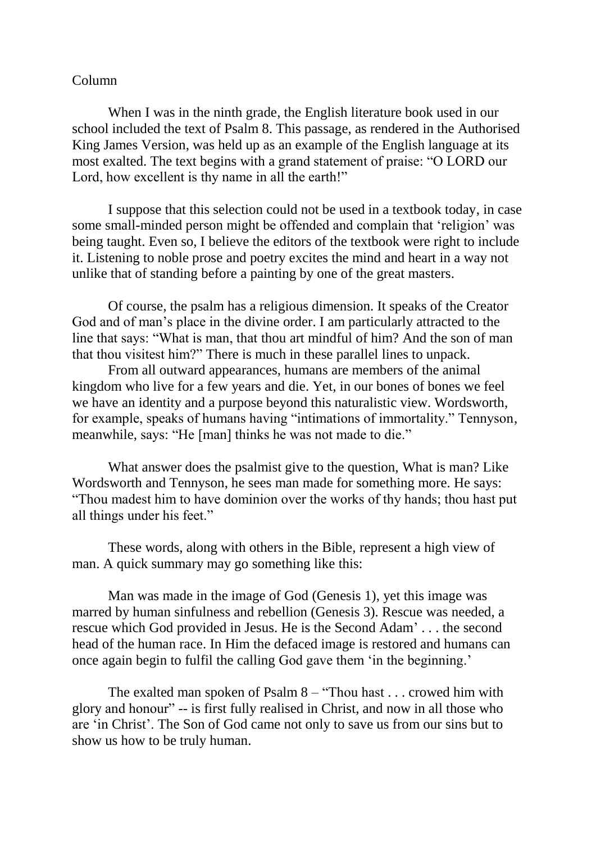## Column

When I was in the ninth grade, the English literature book used in our school included the text of Psalm 8. This passage, as rendered in the Authorised King James Version, was held up as an example of the English language at its most exalted. The text begins with a grand statement of praise: "O LORD our Lord, how excellent is thy name in all the earth!"

I suppose that this selection could not be used in a textbook today, in case some small-minded person might be offended and complain that 'religion' was being taught. Even so, I believe the editors of the textbook were right to include it. Listening to noble prose and poetry excites the mind and heart in a way not unlike that of standing before a painting by one of the great masters.

Of course, the psalm has a religious dimension. It speaks of the Creator God and of man's place in the divine order. I am particularly attracted to the line that says: "What is man, that thou art mindful of him? And the son of man that thou visitest him?" There is much in these parallel lines to unpack.

From all outward appearances, humans are members of the animal kingdom who live for a few years and die. Yet, in our bones of bones we feel we have an identity and a purpose beyond this naturalistic view. Wordsworth, for example, speaks of humans having "intimations of immortality." Tennyson, meanwhile, says: "He [man] thinks he was not made to die."

What answer does the psalmist give to the question, What is man? Like Wordsworth and Tennyson, he sees man made for something more. He says: "Thou madest him to have dominion over the works of thy hands; thou hast put all things under his feet."

These words, along with others in the Bible, represent a high view of man. A quick summary may go something like this:

Man was made in the image of God (Genesis 1), yet this image was marred by human sinfulness and rebellion (Genesis 3). Rescue was needed, a rescue which God provided in Jesus. He is the Second Adam' . . . the second head of the human race. In Him the defaced image is restored and humans can once again begin to fulfil the calling God gave them 'in the beginning.'

The exalted man spoken of Psalm 8 – "Thou hast . . . crowed him with glory and honour" -- is first fully realised in Christ, and now in all those who are 'in Christ'. The Son of God came not only to save us from our sins but to show us how to be truly human.